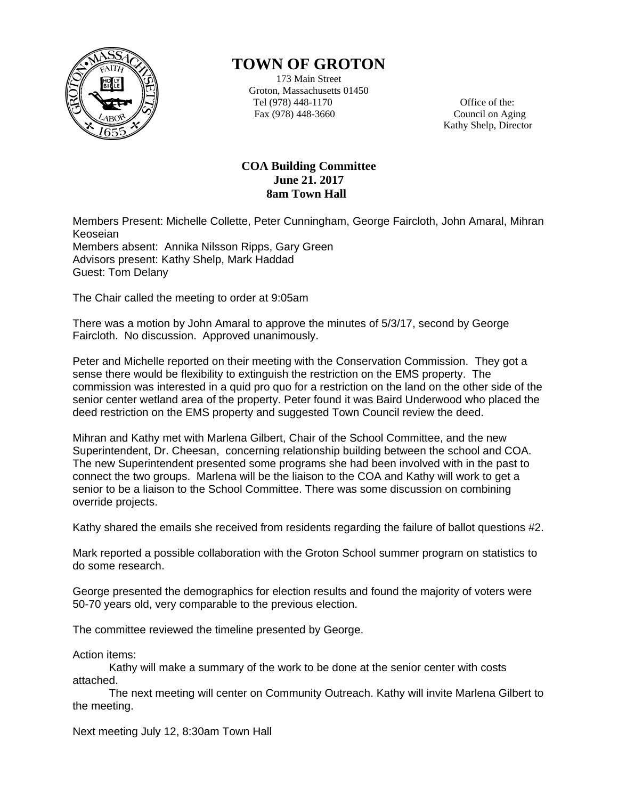

## **TOWN OF GROTON**

173 Main Street Groton, Massachusetts 01450 Tel (978) 448-1170 Office of the: Fax (978) 448-3660 Council on Aging

Kathy Shelp, Director

## **COA Building Committee June 21. 2017 8am Town Hall**

Members Present: Michelle Collette, Peter Cunningham, George Faircloth, John Amaral, Mihran Keoseian Members absent: Annika Nilsson Ripps, Gary Green Advisors present: Kathy Shelp, Mark Haddad Guest: Tom Delany

The Chair called the meeting to order at 9:05am

There was a motion by John Amaral to approve the minutes of 5/3/17, second by George Faircloth. No discussion. Approved unanimously.

Peter and Michelle reported on their meeting with the Conservation Commission. They got a sense there would be flexibility to extinguish the restriction on the EMS property. The commission was interested in a quid pro quo for a restriction on the land on the other side of the senior center wetland area of the property. Peter found it was Baird Underwood who placed the deed restriction on the EMS property and suggested Town Council review the deed.

Mihran and Kathy met with Marlena Gilbert, Chair of the School Committee, and the new Superintendent, Dr. Cheesan, concerning relationship building between the school and COA. The new Superintendent presented some programs she had been involved with in the past to connect the two groups. Marlena will be the liaison to the COA and Kathy will work to get a senior to be a liaison to the School Committee. There was some discussion on combining override projects.

Kathy shared the emails she received from residents regarding the failure of ballot questions #2.

Mark reported a possible collaboration with the Groton School summer program on statistics to do some research.

George presented the demographics for election results and found the majority of voters were 50-70 years old, very comparable to the previous election.

The committee reviewed the timeline presented by George.

Action items:

Kathy will make a summary of the work to be done at the senior center with costs attached.

The next meeting will center on Community Outreach. Kathy will invite Marlena Gilbert to the meeting.

Next meeting July 12, 8:30am Town Hall